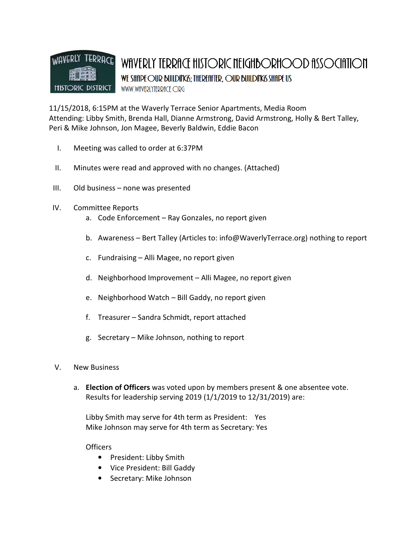

11/15/2018, 6:15PM at the Waverly Terrace Senior Apartments, Media Room Attending: Libby Smith, Brenda Hall, Dianne Armstrong, David Armstrong, Holly & Bert Talley, Peri & Mike Johnson, Jon Magee, Beverly Baldwin, Eddie Bacon

- I. Meeting was called to order at 6:37PM
- II. Minutes were read and approved with no changes. (Attached)
- III. Old business none was presented
- IV. Committee Reports
	- a. Code Enforcement Ray Gonzales, no report given
	- b. Awareness Bert Talley (Articles to: info@WaverlyTerrace.org) nothing to report
	- c. Fundraising Alli Magee, no report given
	- d. Neighborhood Improvement Alli Magee, no report given
	- e. Neighborhood Watch Bill Gaddy, no report given
	- f. Treasurer Sandra Schmidt, report attached
	- g. Secretary Mike Johnson, nothing to report

### V. New Business

a. Election of Officers was voted upon by members present & one absentee vote. Results for leadership serving 2019 (1/1/2019 to 12/31/2019) are:

Libby Smith may serve for 4th term as President: Yes Mike Johnson may serve for 4th term as Secretary: Yes

### Officers

- President: Libby Smith
- Vice President: Bill Gaddy
- Secretary: Mike Johnson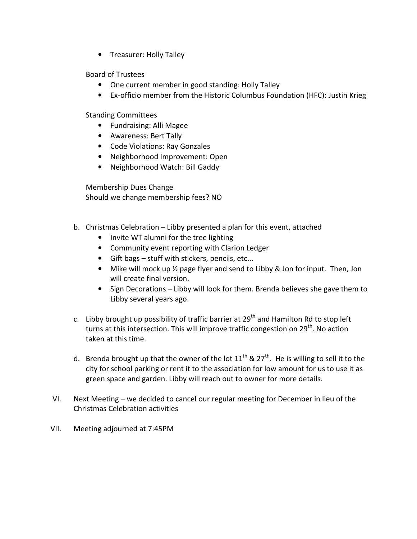• Treasurer: Holly Talley

# Board of Trustees

- One current member in good standing: Holly Talley
- Ex-officio member from the Historic Columbus Foundation (HFC): Justin Krieg

Standing Committees

- Fundraising: Alli Magee
- Awareness: Bert Tally
- Code Violations: Ray Gonzales
- Neighborhood Improvement: Open
- Neighborhood Watch: Bill Gaddy

Membership Dues Change Should we change membership fees? NO

- b. Christmas Celebration Libby presented a plan for this event, attached
	- Invite WT alumni for the tree lighting
	- Community event reporting with Clarion Ledger
	- Gift bags stuff with stickers, pencils, etc...
	- Mike will mock up 1/2 page flyer and send to Libby & Jon for input. Then, Jon will create final version.
	- Sign Decorations Libby will look for them. Brenda believes she gave them to Libby several years ago.
- c. Libby brought up possibility of traffic barrier at  $29<sup>th</sup>$  and Hamilton Rd to stop left turns at this intersection. This will improve traffic congestion on 29<sup>th</sup>. No action taken at this time.
- d. Brenda brought up that the owner of the lot  $11<sup>th</sup>$  &  $27<sup>th</sup>$ . He is willing to sell it to the city for school parking or rent it to the association for low amount for us to use it as green space and garden. Libby will reach out to owner for more details.
- VI. Next Meeting we decided to cancel our regular meeting for December in lieu of the Christmas Celebration activities
- VII. Meeting adjourned at 7:45PM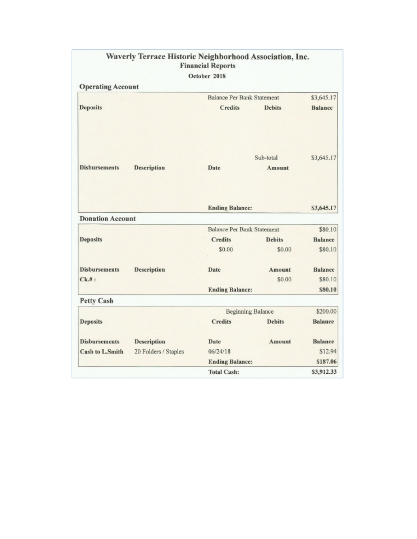|                          |                      | October 2018                      |               |                |
|--------------------------|----------------------|-----------------------------------|---------------|----------------|
| <b>Operating Account</b> |                      |                                   |               |                |
|                          |                      | <b>Balance Per Bank Statement</b> |               | \$3,645.17     |
| <b>Deposits</b>          |                      | <b>Credits</b>                    | <b>Debits</b> | <b>Balance</b> |
|                          |                      |                                   | Sub-total     | \$3,645.17     |
| <b>Disbursements</b>     | <b>Description</b>   | Date                              | Amount        |                |
|                          |                      |                                   |               |                |
|                          |                      | <b>Ending Balance:</b>            |               | \$3,645.17     |
| <b>Donation Account</b>  |                      |                                   |               |                |
|                          |                      | <b>Balance Per Bank Statement</b> |               | \$80.10        |
| <b>Deposits</b>          |                      | <b>Credits</b>                    | <b>Debits</b> | <b>Balance</b> |
|                          |                      | \$0.00                            | \$0.00        | \$80.10        |
| <b>Disbursements</b>     | <b>Description</b>   | Date                              | Amount        | <b>Balance</b> |
| $Ck.#$ :                 |                      |                                   | \$0.00        | \$80.10        |
|                          |                      | <b>Ending Balance:</b>            |               | \$80.10        |
| <b>Petty Cash</b>        |                      |                                   |               |                |
|                          |                      | <b>Beginning Balance</b>          |               | \$200.00       |
| <b>Deposits</b>          |                      | <b>Credits</b>                    | <b>Debits</b> | <b>Balance</b> |
| <b>Disbursements</b>     | <b>Description</b>   | Date                              | Amount        | <b>Balance</b> |
| <b>Cash to L.Smith</b>   | 20 Folders / Staples | 06/24/18                          |               | \$12.94        |
|                          |                      | <b>Ending Balance:</b>            |               | \$187.06       |
|                          |                      | <b>Total Cash:</b>                |               | \$3,912.33     |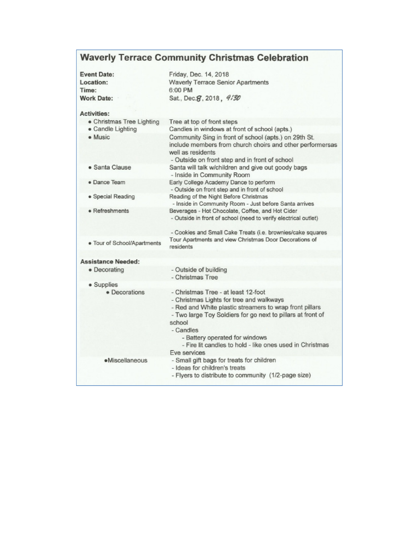# **Waverly Terrace Community Christmas Celebration**

| <b>Event Date:</b>          | Friday, Dec. 14, 2018                                                                                                                                                                                                                                                                                                                          |
|-----------------------------|------------------------------------------------------------------------------------------------------------------------------------------------------------------------------------------------------------------------------------------------------------------------------------------------------------------------------------------------|
| Location:                   | <b>Waverly Terrace Senior Apartments</b>                                                                                                                                                                                                                                                                                                       |
| Time:                       | 6:00 PM                                                                                                                                                                                                                                                                                                                                        |
| <b>Work Date:</b>           | Sat., Dec. g, 2018, 9/30                                                                                                                                                                                                                                                                                                                       |
| <b>Activities:</b>          |                                                                                                                                                                                                                                                                                                                                                |
| • Christmas Tree Lighting   | Tree at top of front steps                                                                                                                                                                                                                                                                                                                     |
| · Candle Lighting           | Candles in windows at front of school (apts.)                                                                                                                                                                                                                                                                                                  |
| • Music                     | Community Sing in front of school (apts.) on 29th St.<br>include members from church choirs and other performersas<br>well as residents<br>- Outside on front step and in front of school                                                                                                                                                      |
| · Santa Clause              | Santa will talk w/children and give out goody bags<br>- Inside in Community Room                                                                                                                                                                                                                                                               |
| · Dance Team                | Early College Academy Dance to perform<br>- Outside on front step and in front of school                                                                                                                                                                                                                                                       |
| · Special Reading           | Reading of the Night Before Christmas<br>- Inside in Community Room - Just before Santa arrives                                                                                                                                                                                                                                                |
| · Refreshments              | Beverages - Hot Chocolate, Coffee, and Hot Cider<br>- Outside in front of school (need to verify electrical outlet)                                                                                                                                                                                                                            |
|                             | - Cookies and Small Cake Treats (i.e. brownies/cake squares                                                                                                                                                                                                                                                                                    |
| · Tour of School/Apartments | Tour Apartments and view Christmas Door Decorations of<br>residents                                                                                                                                                                                                                                                                            |
| <b>Assistance Needed:</b>   |                                                                                                                                                                                                                                                                                                                                                |
| · Decorating                | - Outside of building<br>- Christmas Tree                                                                                                                                                                                                                                                                                                      |
| • Supplies                  |                                                                                                                                                                                                                                                                                                                                                |
| · Decorations               | - Christmas Tree - at least 12-foot<br>- Christmas Lights for tree and walkways<br>- Red and White plastic streamers to wrap front pillars<br>- Two large Toy Soldiers for go next to pillars at front of<br>school<br>- Candles<br>- Battery operated for windows<br>- Fire lit candles to hold - like ones used in Christmas<br>Eve services |
| ·Miscellaneous              | - Small gift bags for treats for children<br>- Ideas for children's treats<br>- Flyers to distribute to community (1/2-page size)                                                                                                                                                                                                              |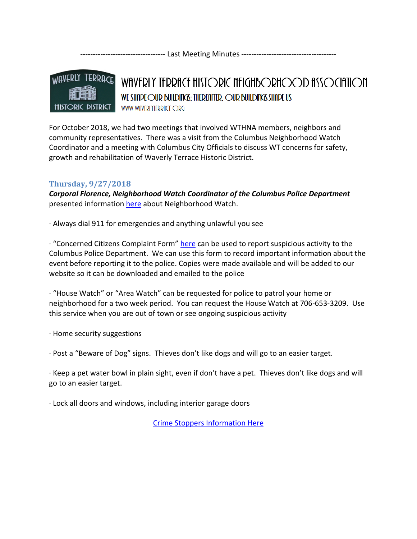---------------------------------- Last Meeting Minutes --------------------------------------



WAVERLY TERRACE HISTORIC NEIGHBORHOOD ASSOCIATION WE SHIPE OUR BUILDING: THEREFITER, OUR BUILDING SHIPE US WWW.WfIVERLYTERRfICE.ORG

For October 2018, we had two meetings that involved WTHNA members, neighbors and community representatives. There was a visit from the Columbus Neighborhood Watch Coordinator and a meeting with Columbus City Officials to discuss WT concerns for safety, growth and rehabilitation of Waverly Terrace Historic District.

# Thursday, 9/27/2018

Corporal Florence, Neighborhood Watch Coordinator of the Columbus Police Department presented information here about Neighborhood Watch.

· Always dial 911 for emergencies and anything unlawful you see

 $\cdot$  "Concerned Citizens Complaint Form" here can be used to report suspicious activity to the Columbus Police Department. We can use this form to record important information about the event before reporting it to the police. Copies were made available and will be added to our website so it can be downloaded and emailed to the police

· "House Watch" or "Area Watch" can be requested for police to patrol your home or neighborhood for a two week period. You can request the House Watch at 706-653-3209. Use this service when you are out of town or see ongoing suspicious activity

· Home security suggestions

· Post a "Beware of Dog" signs. Thieves don't like dogs and will go to an easier target.

· Keep a pet water bowl in plain sight, even if don't have a pet. Thieves don't like dogs and will go to an easier target.

· Lock all doors and windows, including interior garage doors

Crime Stoppers Information Here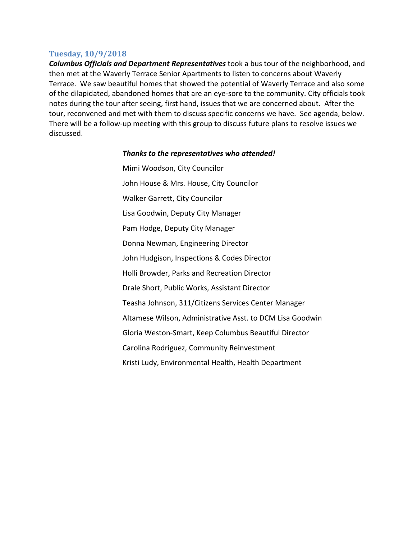## Tuesday, 10/9/2018

Columbus Officials and Department Representatives took a bus tour of the neighborhood, and then met at the Waverly Terrace Senior Apartments to listen to concerns about Waverly Terrace. We saw beautiful homes that showed the potential of Waverly Terrace and also some of the dilapidated, abandoned homes that are an eye-sore to the community. City officials took notes during the tour after seeing, first hand, issues that we are concerned about. After the tour, reconvened and met with them to discuss specific concerns we have. See agenda, below. There will be a follow-up meeting with this group to discuss future plans to resolve issues we discussed.

## Thanks to the representatives who attended!

Mimi Woodson, City Councilor John House & Mrs. House, City Councilor Walker Garrett, City Councilor Lisa Goodwin, Deputy City Manager Pam Hodge, Deputy City Manager Donna Newman, Engineering Director John Hudgison, Inspections & Codes Director Holli Browder, Parks and Recreation Director Drale Short, Public Works, Assistant Director Teasha Johnson, 311/Citizens Services Center Manager Altamese Wilson, Administrative Asst. to DCM Lisa Goodwin Gloria Weston-Smart, Keep Columbus Beautiful Director Carolina Rodriguez, Community Reinvestment Kristi Ludy, Environmental Health, Health Department